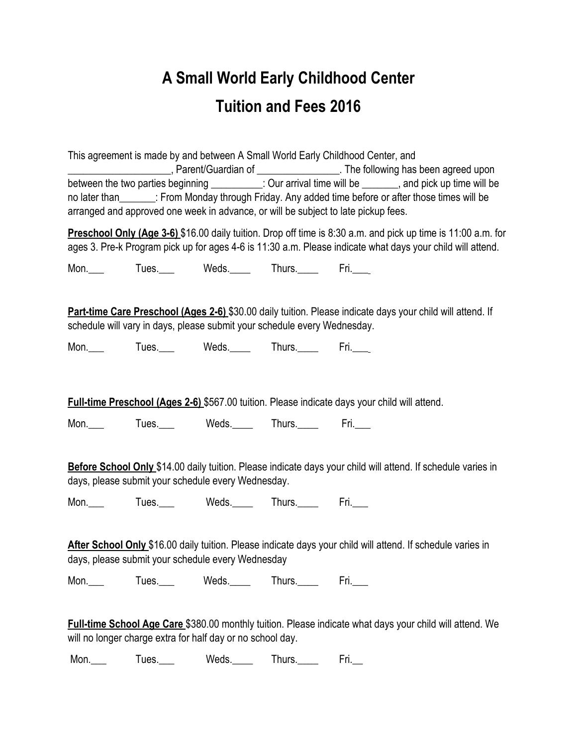## **A Small World Early Childhood Center Tuition and Fees 2016**

This agreement is made by and between A Small World Early Childhood Center, and **EXECUTE:** Parent/Guardian of **With the following has been agreed upon** between the two parties beginning \_\_\_\_\_\_\_\_\_: Our arrival time will be \_\_\_\_\_\_, and pick up time will be no later than : From Monday through Friday. Any added time before or after those times will be arranged and approved one week in advance, or will be subject to late pickup fees.

**Preschool Only (Age 3-6)** \$16.00 daily tuition. Drop off time is 8:30 a.m. and pick up time is 11:00 a.m. for ages 3. Pre-k Program pick up for ages 4-6 is 11:30 a.m. Please indicate what days your child will attend.

Mon. Tues. Weds. Thurs. Fri.

**Part-time Care Preschool (Ages 2-6)** \$30.00 daily tuition. Please indicate days your child will attend. If schedule will vary in days, please submit your schedule every Wednesday.

Mon. Tues. Weds. Thurs. Fri.

**Full-time Preschool (Ages 2-6)** \$567.00 tuition. Please indicate days your child will attend.

Mon. Tues. Weds. Thurs. Fri.

**Before School Only** \$14.00 daily tuition. Please indicate days your child will attend. If schedule varies in days, please submit your schedule every Wednesday.

Mon. Tues. Weds. Thurs. Fri.

**After School Only** \$16.00 daily tuition. Please indicate days your child will attend. If schedule varies in days, please submit your schedule every Wednesday

Mon. Tues. Weds. Thurs. Fri.

**Full-time School Age Care** \$380.00 monthly tuition. Please indicate what days your child will attend. We will no longer charge extra for half day or no school day.

Mon. Tues. Weds. Thurs. Fri.